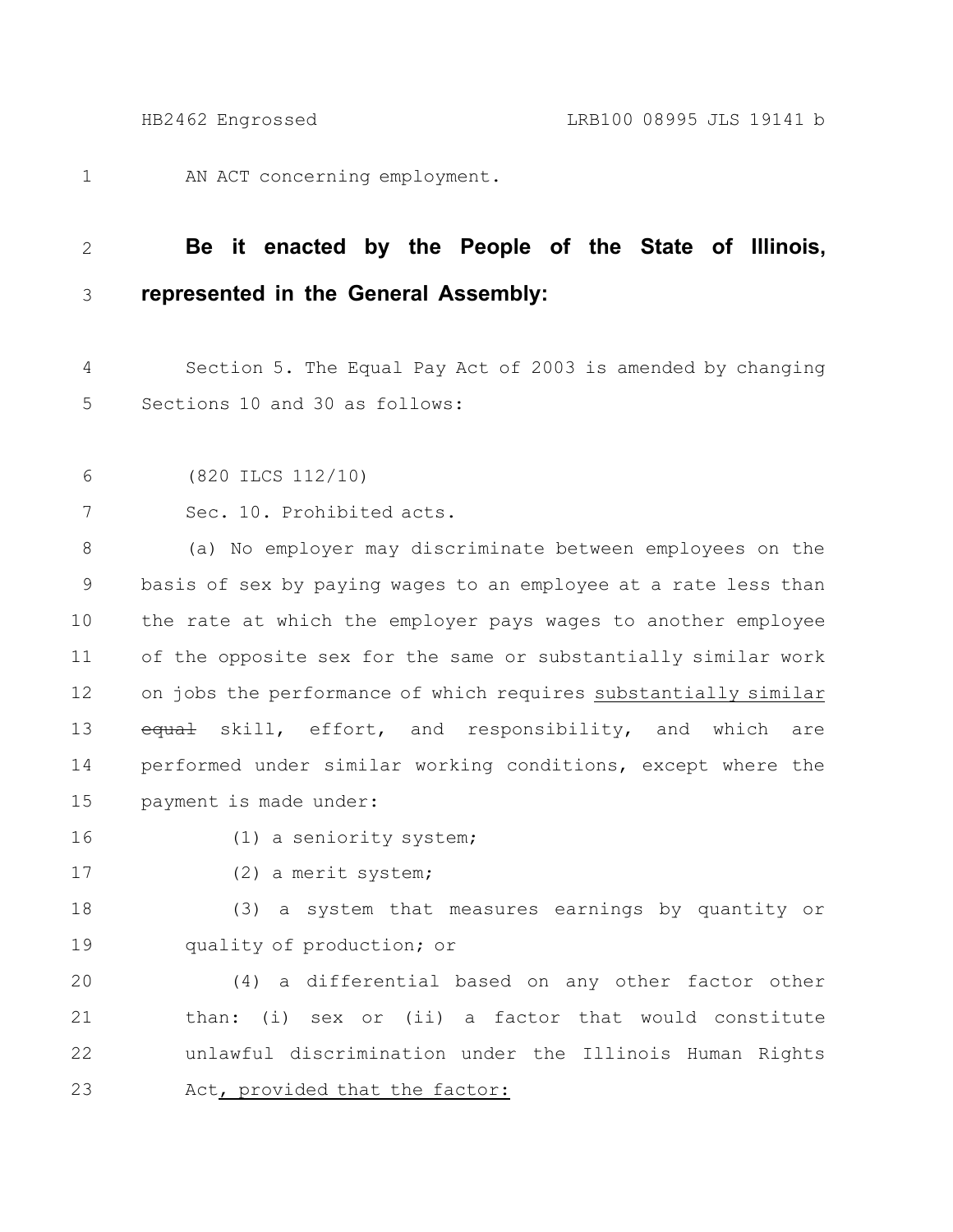AN ACT concerning employment. 1

## **Be it enacted by the People of the State of Illinois, represented in the General Assembly:** 2 3

Section 5. The Equal Pay Act of 2003 is amended by changing Sections 10 and 30 as follows: 4 5

```
(820 ILCS 112/10)
6
```

```
Sec. 10. Prohibited acts.
7
```
(a) No employer may discriminate between employees on the basis of sex by paying wages to an employee at a rate less than the rate at which the employer pays wages to another employee of the opposite sex for the same or substantially similar work on jobs the performance of which requires substantially similar equal skill, effort, and responsibility, and which are performed under similar working conditions, except where the payment is made under: 8 9 10 11 12 13 14 15

16

(1) a seniority system;

17

(2) a merit system;

(3) a system that measures earnings by quantity or quality of production; or 18 19

(4) a differential based on any other factor other than: (i) sex or (ii) a factor that would constitute unlawful discrimination under the Illinois Human Rights Act, provided that the factor: 20 21 22 23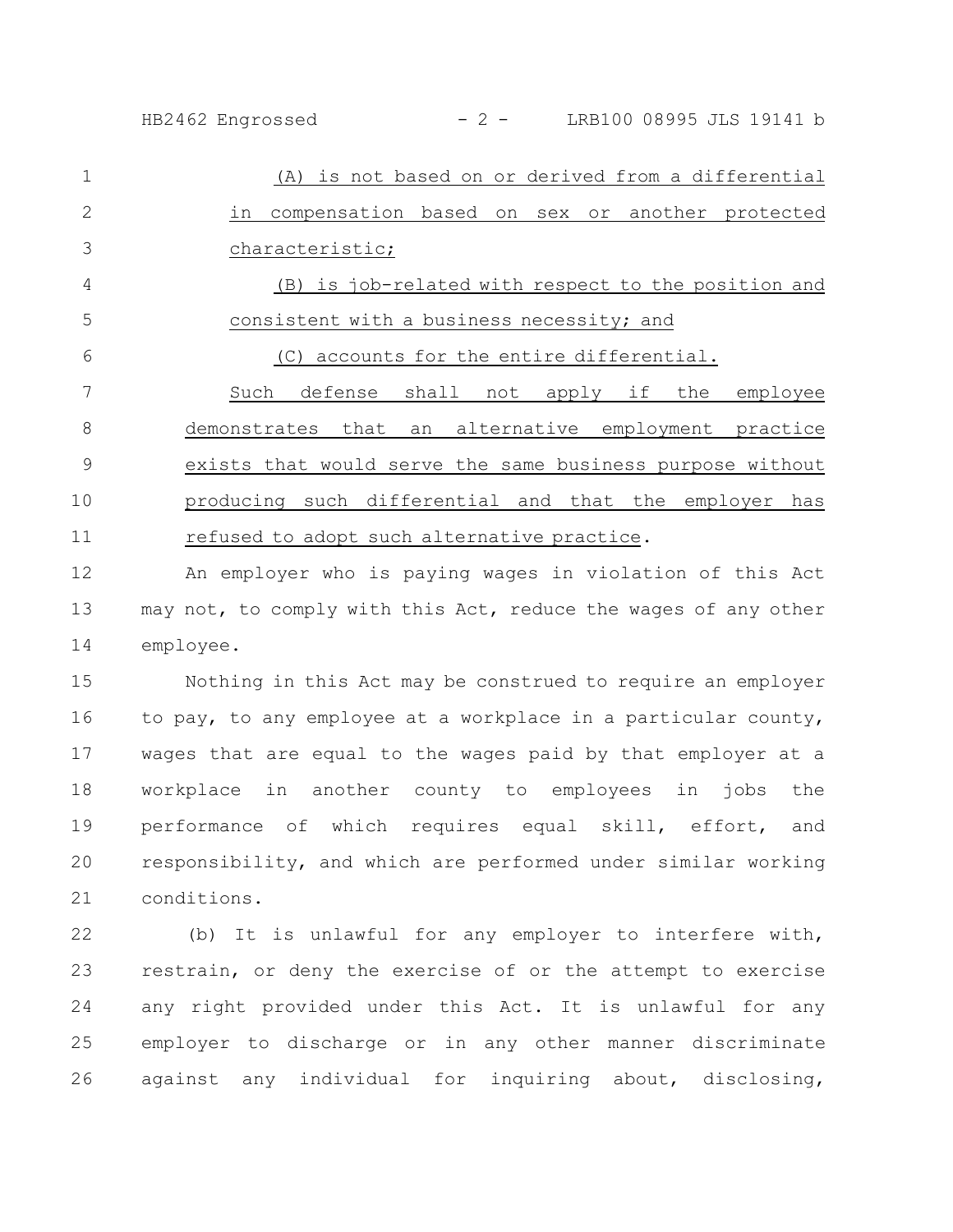| 1  | (A) is not based on or derived from a differential        |
|----|-----------------------------------------------------------|
| 2  | compensation based on sex or another protected<br>in      |
| 3  | characteristic;                                           |
| 4  | (B) is job-related with respect to the position and       |
| 5  | consistent with a business necessity; and                 |
| 6  | accounts for the entire differential.<br>(C)              |
| 7  | defense shall not apply if the<br>employee<br>Such        |
| 8  | demonstrates that an alternative employment practice      |
| 9  | exists that would serve the same business purpose without |
| 10 | producing such differential and that the employer has     |
| 11 | refused to adopt such alternative practice.               |

An employer who is paying wages in violation of this Act may not, to comply with this Act, reduce the wages of any other employee. 12 13 14

Nothing in this Act may be construed to require an employer to pay, to any employee at a workplace in a particular county, wages that are equal to the wages paid by that employer at a workplace in another county to employees in jobs the performance of which requires equal skill, effort, and responsibility, and which are performed under similar working conditions. 15 16 17 18 19 20 21

(b) It is unlawful for any employer to interfere with, restrain, or deny the exercise of or the attempt to exercise any right provided under this Act. It is unlawful for any employer to discharge or in any other manner discriminate against any individual for inquiring about, disclosing, 22 23 24 25 26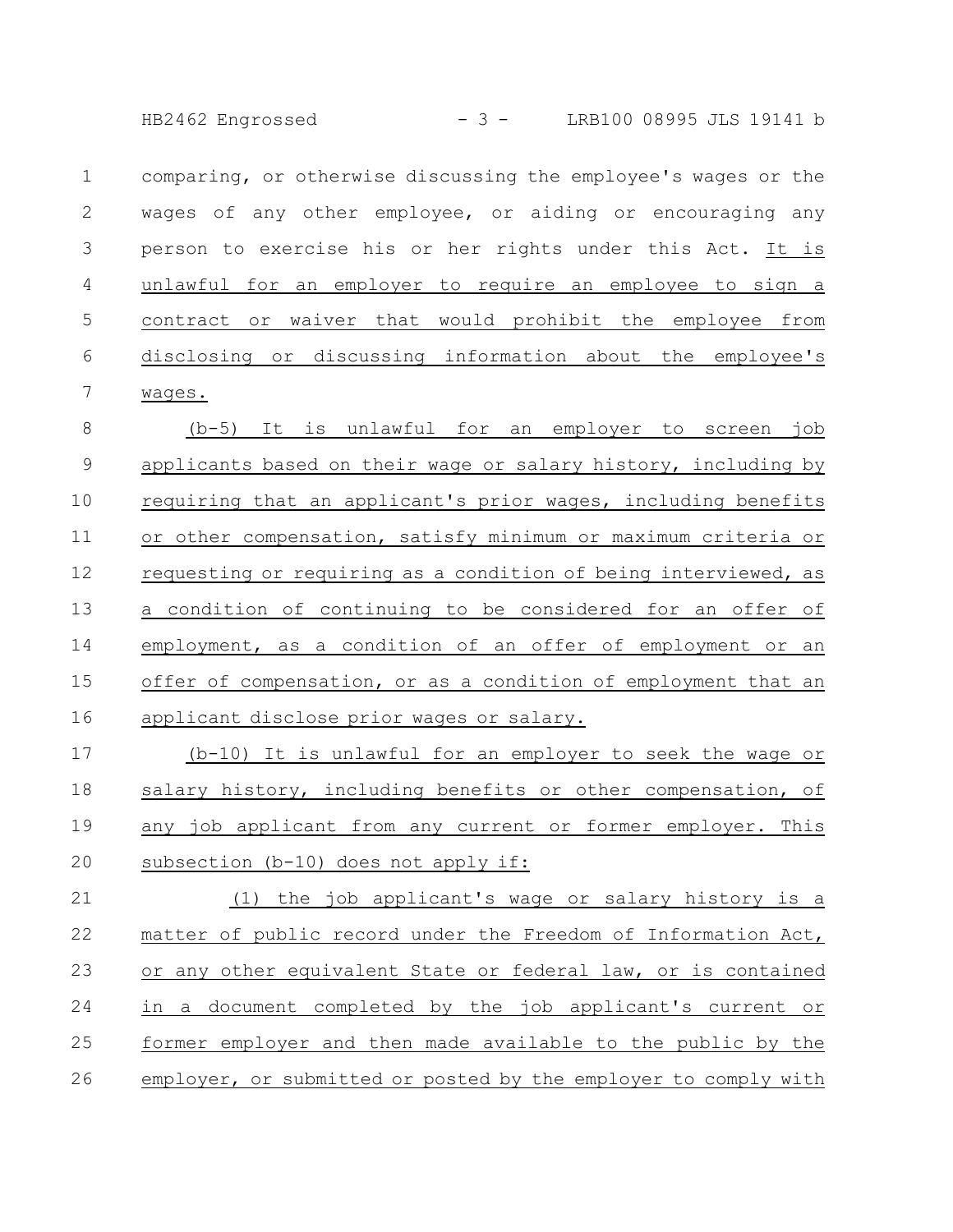HB2462 Engrossed - 3 - LRB100 08995 JLS 19141 b

|   | comparing, or otherwise discussing the employee's wages or the |
|---|----------------------------------------------------------------|
|   | wages of any other employee, or aiding or encouraging any      |
|   | person to exercise his or her rights under this Act. It is     |
| 4 | unlawful for an employer to require an employee to sign a      |
| 5 | contract or waiver that would prohibit the employee from       |
| 6 | disclosing or discussing information about the employee's      |
|   | wages.                                                         |

(b-5) It is unlawful for an employer to screen job applicants based on their wage or salary history, including by requiring that an applicant's prior wages, including benefits or other compensation, satisfy minimum or maximum criteria or requesting or requiring as a condition of being interviewed, as a condition of continuing to be considered for an offer of employment, as a condition of an offer of employment or an offer of compensation, or as a condition of employment that an applicant disclose prior wages or salary. 8 9 10 11 12 13 14 15 16

(b-10) It is unlawful for an employer to seek the wage or salary history, including benefits or other compensation, of any job applicant from any current or former employer. This subsection (b-10) does not apply if: 17 18 19 20

(1) the job applicant's wage or salary history is a matter of public record under the Freedom of Information Act, or any other equivalent State or federal law, or is contained in a document completed by the job applicant's current or former employer and then made available to the public by the employer, or submitted or posted by the employer to comply with 21 22 23 24 25 26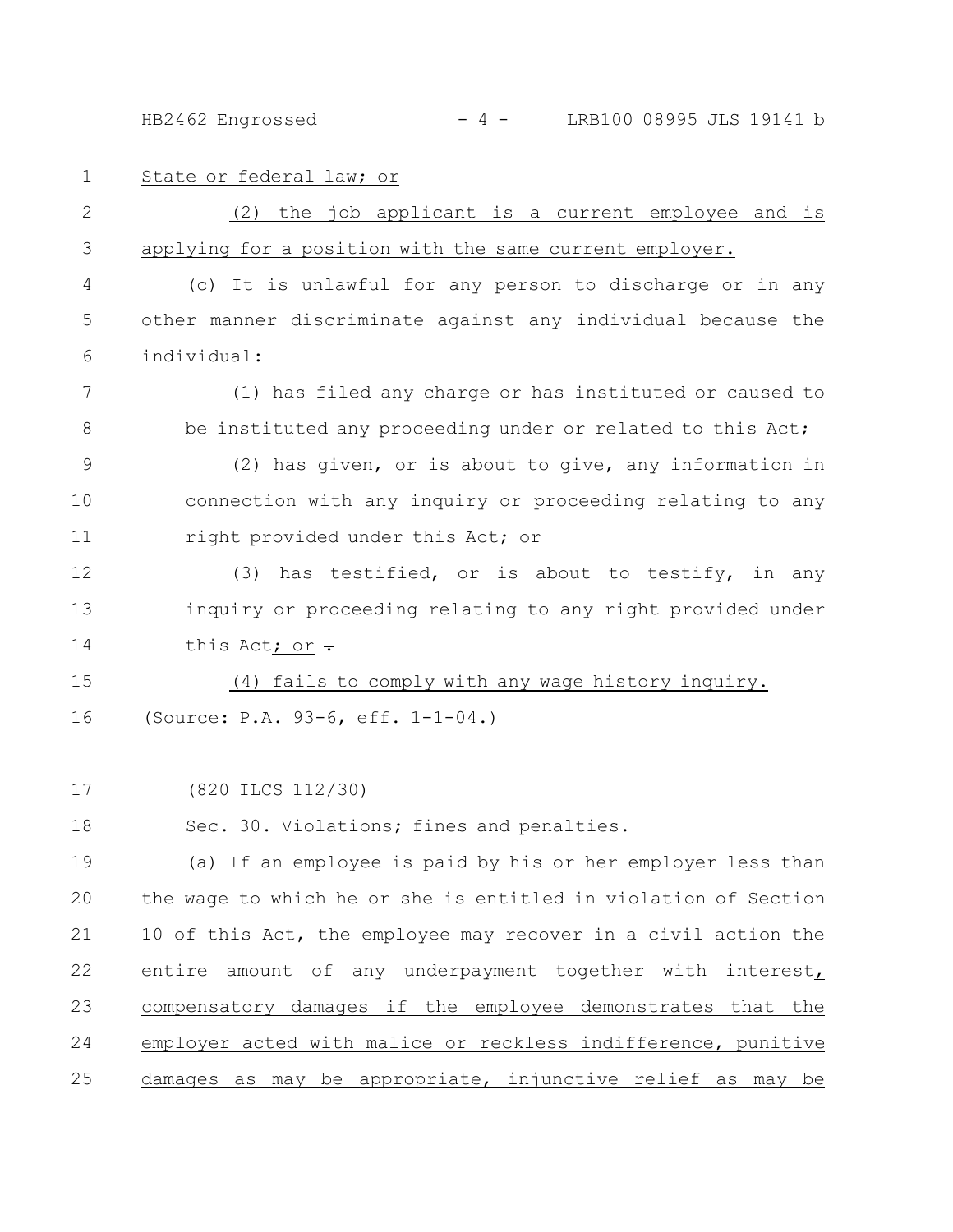HB2462 Engrossed - 4 - LRB100 08995 JLS 19141 b

1

State or federal law; or

(2) the job applicant is a current employee and is applying for a position with the same current employer. 2 3

(c) It is unlawful for any person to discharge or in any other manner discriminate against any individual because the individual: 4 5 6

(1) has filed any charge or has instituted or caused to be instituted any proceeding under or related to this Act; 7 8

(2) has given, or is about to give, any information in connection with any inquiry or proceeding relating to any right provided under this Act; or 9 10 11

(3) has testified, or is about to testify, in any inquiry or proceeding relating to any right provided under this Act; or  $\div$ 12 13 14

(4) fails to comply with any wage history inquiry. (Source: P.A. 93-6, eff. 1-1-04.) 15 16

(820 ILCS 112/30) 17

Sec. 30. Violations; fines and penalties. 18

(a) If an employee is paid by his or her employer less than the wage to which he or she is entitled in violation of Section 10 of this Act, the employee may recover in a civil action the entire amount of any underpayment together with interest, compensatory damages if the employee demonstrates that the employer acted with malice or reckless indifference, punitive damages as may be appropriate, injunctive relief as may be 19 20 21 22 23 24 25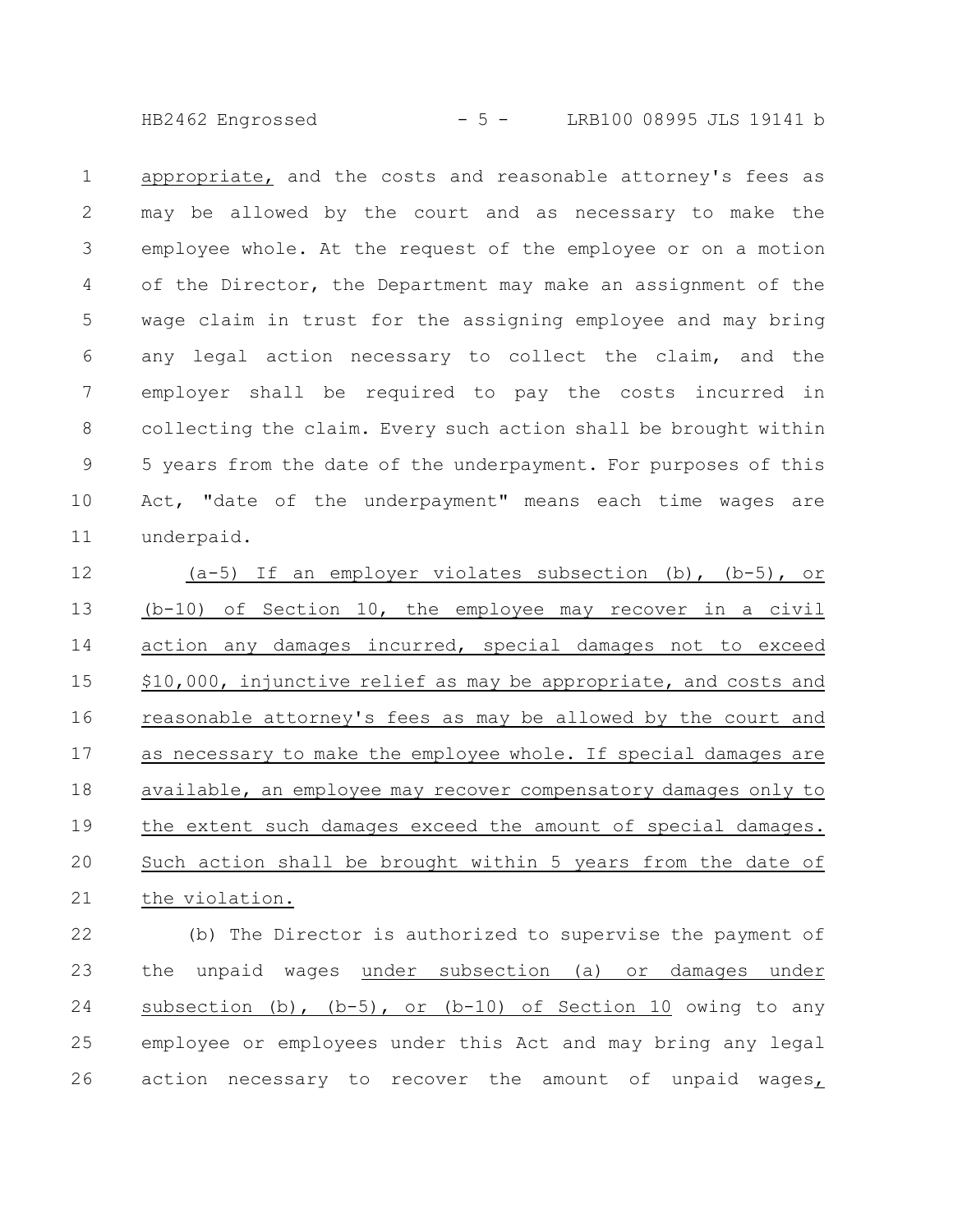HB2462 Engrossed - 5 - LRB100 08995 JLS 19141 b

appropriate, and the costs and reasonable attorney's fees as may be allowed by the court and as necessary to make the employee whole. At the request of the employee or on a motion of the Director, the Department may make an assignment of the wage claim in trust for the assigning employee and may bring any legal action necessary to collect the claim, and the employer shall be required to pay the costs incurred in collecting the claim. Every such action shall be brought within 5 years from the date of the underpayment. For purposes of this Act, "date of the underpayment" means each time wages are underpaid. 1 2 3 4 5 6 7 8 9 10 11

(a-5) If an employer violates subsection (b), (b-5), or (b-10) of Section 10, the employee may recover in a civil action any damages incurred, special damages not to exceed \$10,000, injunctive relief as may be appropriate, and costs and reasonable attorney's fees as may be allowed by the court and as necessary to make the employee whole. If special damages are available, an employee may recover compensatory damages only to the extent such damages exceed the amount of special damages. Such action shall be brought within 5 years from the date of the violation. 12 13 14 15 16 17 18 19 20 21

(b) The Director is authorized to supervise the payment of the unpaid wages under subsection (a) or damages under subsection (b),  $(b-5)$ , or  $(b-10)$  of Section 10 owing to any employee or employees under this Act and may bring any legal action necessary to recover the amount of unpaid wages, 22 23 24 25 26